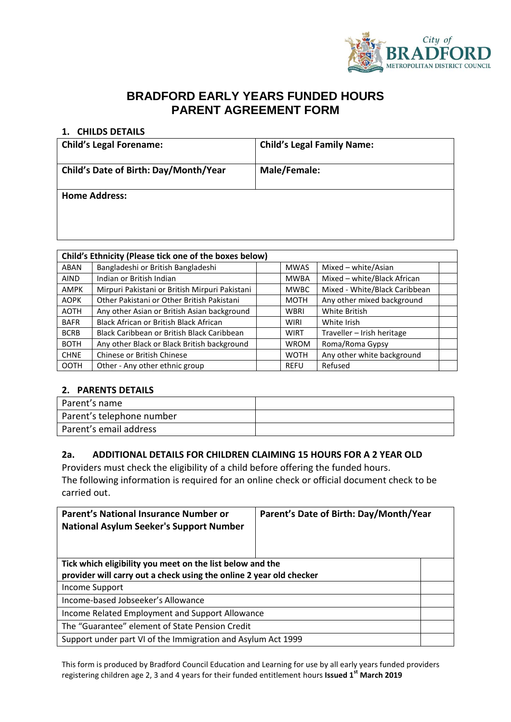

# **BRADFORD EARLY YEARS FUNDED HOURS PARENT AGREEMENT FORM**

#### **1. CHILDS DETAILS**

| <b>Child's Legal Forename:</b>        | <b>Child's Legal Family Name:</b> |
|---------------------------------------|-----------------------------------|
| Child's Date of Birth: Day/Month/Year | Male/Female:                      |
| <b>Home Address:</b>                  |                                   |

| Child's Ethnicity (Please tick one of the boxes below) |                                                |  |             |                               |  |
|--------------------------------------------------------|------------------------------------------------|--|-------------|-------------------------------|--|
| <b>ABAN</b>                                            | Bangladeshi or British Bangladeshi             |  | <b>MWAS</b> | Mixed - white/Asian           |  |
| <b>AIND</b>                                            | Indian or British Indian                       |  | <b>MWBA</b> | Mixed - white/Black African   |  |
| <b>AMPK</b>                                            | Mirpuri Pakistani or British Mirpuri Pakistani |  | <b>MWBC</b> | Mixed - White/Black Caribbean |  |
| <b>AOPK</b>                                            | Other Pakistani or Other British Pakistani     |  | <b>MOTH</b> | Any other mixed background    |  |
| <b>AOTH</b>                                            | Any other Asian or British Asian background    |  | <b>WBRI</b> | White British                 |  |
| <b>BAFR</b>                                            | <b>Black African or British Black African</b>  |  | <b>WIRI</b> | White Irish                   |  |
| <b>BCRB</b>                                            | Black Caribbean or British Black Caribbean     |  | <b>WIRT</b> | Traveller - Irish heritage    |  |
| <b>BOTH</b>                                            | Any other Black or Black British background    |  | <b>WROM</b> | Roma/Roma Gypsy               |  |
| <b>CHNE</b>                                            | Chinese or British Chinese                     |  | <b>WOTH</b> | Any other white background    |  |
| <b>OOTH</b>                                            | Other - Any other ethnic group                 |  | <b>REFU</b> | Refused                       |  |

#### **2. PARENTS DETAILS**

| Parent's name             |  |
|---------------------------|--|
| Parent's telephone number |  |
| Parent's email address    |  |

#### **2a. ADDITIONAL DETAILS FOR CHILDREN CLAIMING 15 HOURS FOR A 2 YEAR OLD**

Providers must check the eligibility of a child before offering the funded hours. The following information is required for an online check or official document check to be carried out.

| Parent's National Insurance Number or<br><b>National Asylum Seeker's Support Number</b> | Parent's Date of Birth: Day/Month/Year |  |  |
|-----------------------------------------------------------------------------------------|----------------------------------------|--|--|
| Tick which eligibility you meet on the list below and the                               |                                        |  |  |
| provider will carry out a check using the online 2 year old checker                     |                                        |  |  |
| Income Support                                                                          |                                        |  |  |
| Income-based Jobseeker's Allowance                                                      |                                        |  |  |
| Income Related Employment and Support Allowance                                         |                                        |  |  |
| The "Guarantee" element of State Pension Credit                                         |                                        |  |  |
| Support under part VI of the Immigration and Asylum Act 1999                            |                                        |  |  |

This form is produced by Bradford Council Education and Learning for use by all early years funded providers registering children age 2, 3 and 4 years for their funded entitlement hours **Issued 1st March 2019**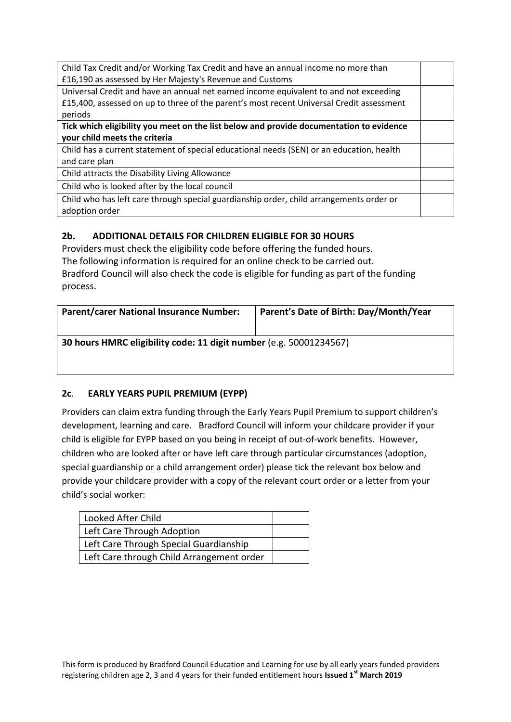| Child Tax Credit and/or Working Tax Credit and have an annual income no more than        |  |
|------------------------------------------------------------------------------------------|--|
| £16,190 as assessed by Her Majesty's Revenue and Customs                                 |  |
| Universal Credit and have an annual net earned income equivalent to and not exceeding    |  |
| £15,400, assessed on up to three of the parent's most recent Universal Credit assessment |  |
| periods                                                                                  |  |
| Tick which eligibility you meet on the list below and provide documentation to evidence  |  |
| your child meets the criteria                                                            |  |
| Child has a current statement of special educational needs (SEN) or an education, health |  |
| and care plan                                                                            |  |
| Child attracts the Disability Living Allowance                                           |  |
| Child who is looked after by the local council                                           |  |
| Child who has left care through special guardianship order, child arrangements order or  |  |
| adoption order                                                                           |  |

## **2b. ADDITIONAL DETAILS FOR CHILDREN ELIGIBLE FOR 30 HOURS**

Providers must check the eligibility code before offering the funded hours. The following information is required for an online check to be carried out. Bradford Council will also check the code is eligible for funding as part of the funding process.

| <b>Parent/carer National Insurance Number:</b>                     | Parent's Date of Birth: Day/Month/Year |  |  |
|--------------------------------------------------------------------|----------------------------------------|--|--|
| 30 hours HMRC eligibility code: 11 digit number (e.g. 50001234567) |                                        |  |  |

## **2c**. **EARLY YEARS PUPIL PREMIUM (EYPP)**

Providers can claim extra funding through the Early Years Pupil Premium to support children's development, learning and care. Bradford Council will inform your childcare provider if your child is eligible for EYPP based on you being in receipt of out-of-work benefits. However, children who are looked after or have left care through particular circumstances (adoption, special guardianship or a child arrangement order) please tick the relevant box below and provide your childcare provider with a copy of the relevant court order or a letter from your child's social worker:

| Looked After Child                        |  |
|-------------------------------------------|--|
| Left Care Through Adoption                |  |
| Left Care Through Special Guardianship    |  |
| Left Care through Child Arrangement order |  |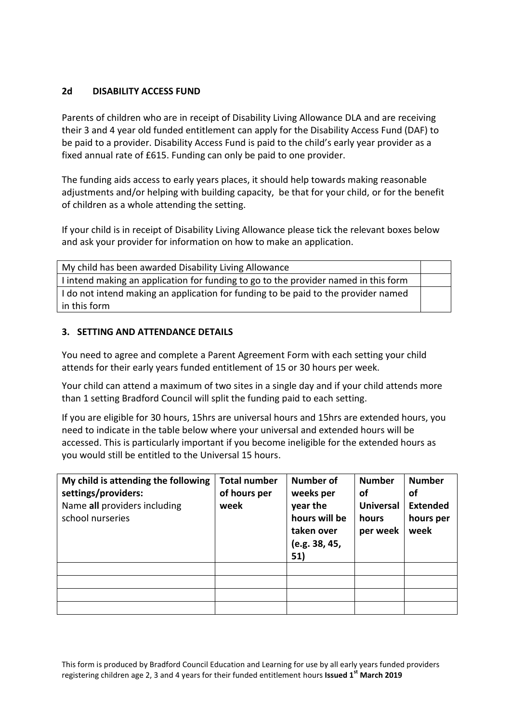#### **2d DISABILITY ACCESS FUND**

Parents of children who are in receipt of Disability Living Allowance DLA and are receiving their 3 and 4 year old funded entitlement can apply for the Disability Access Fund (DAF) to be paid to a provider. Disability Access Fund is paid to the child's early year provider as a fixed annual rate of £615. Funding can only be paid to one provider.

The funding aids access to early years places, it should help towards making reasonable adjustments and/or helping with building capacity, be that for your child, or for the benefit of children as a whole attending the setting.

If your child is in receipt of Disability Living Allowance please tick the relevant boxes below and ask your provider for information on how to make an application.

| My child has been awarded Disability Living Allowance                               |  |
|-------------------------------------------------------------------------------------|--|
| I intend making an application for funding to go to the provider named in this form |  |
| I do not intend making an application for funding to be paid to the provider named  |  |
| in this form                                                                        |  |

#### **3. SETTING AND ATTENDANCE DETAILS**

You need to agree and complete a Parent Agreement Form with each setting your child attends for their early years funded entitlement of 15 or 30 hours per week.

Your child can attend a maximum of two sites in a single day and if your child attends more than 1 setting Bradford Council will split the funding paid to each setting.

If you are eligible for 30 hours, 15hrs are universal hours and 15hrs are extended hours, you need to indicate in the table below where your universal and extended hours will be accessed. This is particularly important if you become ineligible for the extended hours as you would still be entitled to the Universal 15 hours.

| My child is attending the following<br>settings/providers:<br>Name all providers including<br>school nurseries | <b>Total number</b><br>of hours per<br>week | <b>Number of</b><br>weeks per<br>year the<br>hours will be<br>taken over<br>(e.g. 38, 45,<br>51) | <b>Number</b><br>οf<br><b>Universal</b><br>hours<br>per week | <b>Number</b><br>οf<br><b>Extended</b><br>hours per<br>week |
|----------------------------------------------------------------------------------------------------------------|---------------------------------------------|--------------------------------------------------------------------------------------------------|--------------------------------------------------------------|-------------------------------------------------------------|
|                                                                                                                |                                             |                                                                                                  |                                                              |                                                             |
|                                                                                                                |                                             |                                                                                                  |                                                              |                                                             |
|                                                                                                                |                                             |                                                                                                  |                                                              |                                                             |
|                                                                                                                |                                             |                                                                                                  |                                                              |                                                             |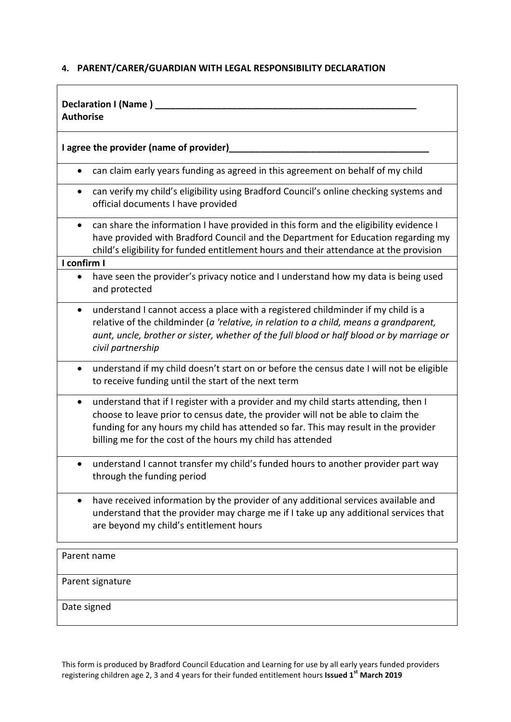## **4. PARENT/CARER/GUARDIAN WITH LEGAL RESPONSIBILITY DECLARATION**

| Declaration I (Name)<br><b>Authorise</b>                                                                                                                                                                                                                                                                                                  |  |  |  |
|-------------------------------------------------------------------------------------------------------------------------------------------------------------------------------------------------------------------------------------------------------------------------------------------------------------------------------------------|--|--|--|
| I agree the provider (name of provider)                                                                                                                                                                                                                                                                                                   |  |  |  |
| can claim early years funding as agreed in this agreement on behalf of my child                                                                                                                                                                                                                                                           |  |  |  |
| can verify my child's eligibility using Bradford Council's online checking systems and<br>official documents I have provided                                                                                                                                                                                                              |  |  |  |
| can share the information I have provided in this form and the eligibility evidence I<br>$\bullet$<br>have provided with Bradford Council and the Department for Education regarding my<br>child's eligibility for funded entitlement hours and their attendance at the provision                                                         |  |  |  |
| I confirm I<br>have seen the provider's privacy notice and I understand how my data is being used<br>and protected                                                                                                                                                                                                                        |  |  |  |
| understand I cannot access a place with a registered childminder if my child is a<br>$\bullet$<br>relative of the childminder (a 'relative, in relation to a child, means a grandparent,<br>aunt, uncle, brother or sister, whether of the full blood or half blood or by marriage or<br>civil partnership                                |  |  |  |
| understand if my child doesn't start on or before the census date I will not be eligible<br>$\bullet$<br>to receive funding until the start of the next term                                                                                                                                                                              |  |  |  |
| understand that if I register with a provider and my child starts attending, then I<br>$\bullet$<br>choose to leave prior to census date, the provider will not be able to claim the<br>funding for any hours my child has attended so far. This may result in the provider<br>billing me for the cost of the hours my child has attended |  |  |  |
| understand I cannot transfer my child's funded hours to another provider part way<br>through the funding period                                                                                                                                                                                                                           |  |  |  |
| have received information by the provider of any additional services available and<br>understand that the provider may charge me if I take up any additional services that<br>are beyond my child's entitlement hours                                                                                                                     |  |  |  |
| Parent name                                                                                                                                                                                                                                                                                                                               |  |  |  |
| Parent signature                                                                                                                                                                                                                                                                                                                          |  |  |  |

Date signed

This form is produced by Bradford Council Education and Learning for use by all early years funded providers registering children age 2, 3 and 4 years for their funded entitlement hours **Issued 1st March 2019**